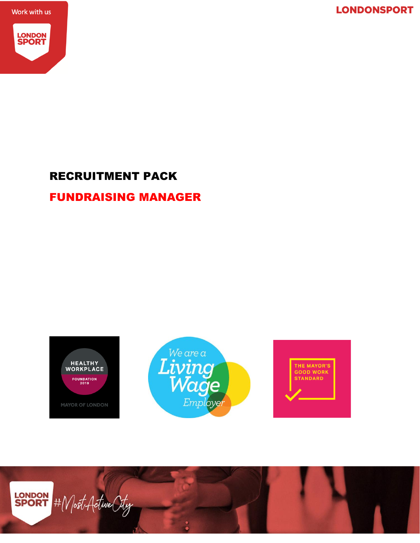**LONDONSPORT** 

Work with us



## RECRUITMENT PACK

## FUNDRAISING MANAGER

HEALTHY<br>WORKPLACE FOUNDATION<br>2019 **MAYOR OF LONDON** 





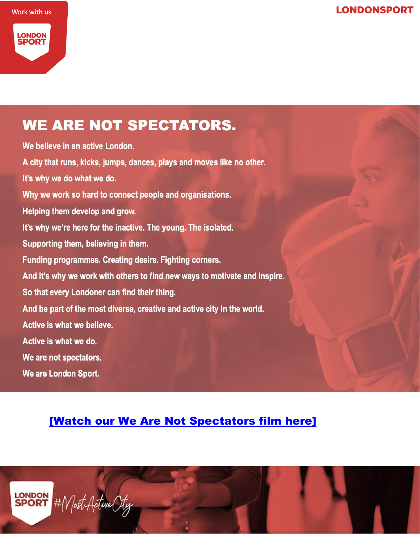Work with us



## **WE ARE NOT SPECTATORS.**

We believe in an active London. A city that runs, kicks, jumps, dances, plays and moves like no other. It's why we do what we do. Why we work so hard to connect people and organisations. Helping them develop and grow. It's why we're here for the inactive. The young. The isolated. Supporting them, believing in them. Funding programmes. Creating desire. Fighting corners. And it's why we work with others to find new ways to motivate and inspire. So that every Londoner can find their thing. And be part of the most diverse, creative and active city in the world. Active is what we believe. Active is what we do. We are not spectators. We are London Sport.

## [\[Watch our We Are Not Spectators film here\]](https://www.youtube.com/watch?v=D-SOz8CtDq8)

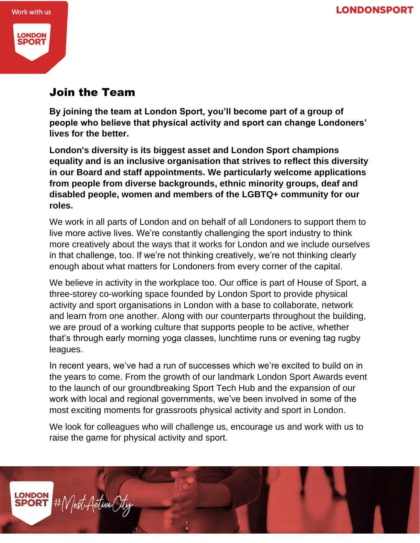**LONDONSPORT** 



## **ONDON SPOR**

## Join the Team

**By joining the team at London Sport, you'll become part of a group of people who believe that physical activity and sport can change Londoners' lives for the better.**

**London's diversity is its biggest asset and London Sport champions equality and is an inclusive organisation that strives to reflect this diversity in our Board and staff appointments. We particularly welcome applications from people from diverse backgrounds, ethnic minority groups, deaf and disabled people, women and members of the LGBTQ+ community for our roles.**

We work in all parts of London and on behalf of all Londoners to support them to live more active lives. We're constantly challenging the sport industry to think more creatively about the ways that it works for London and we include ourselves in that challenge, too. If we're not thinking creatively, we're not thinking clearly enough about what matters for Londoners from every corner of the capital.

We believe in activity in the workplace too. Our office is part of House of Sport, a three-storey co-working space founded by London Sport to provide physical activity and sport organisations in London with a base to collaborate, network and learn from one another. Along with our counterparts throughout the building, we are proud of a working culture that supports people to be active, whether that's through early morning yoga classes, lunchtime runs or evening tag rugby leagues.

In recent years, we've had a run of successes which we're excited to build on in the years to come. From the growth of our landmark London Sport Awards event to the launch of our groundbreaking Sport Tech Hub and the expansion of our work with local and regional governments, we've been involved in some of the most exciting moments for grassroots physical activity and sport in London.

We look for colleagues who will challenge us, encourage us and work with us to raise the game for physical activity and sport.

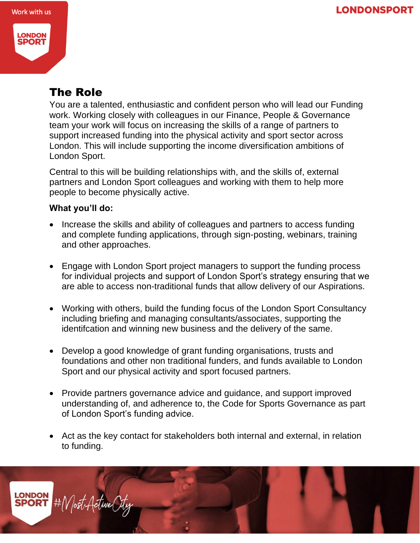

## The Role

You are a talented, enthusiastic and confident person who will lead our Funding work. Working closely with colleagues in our Finance, People & Governance team your work will focus on increasing the skills of a range of partners to support increased funding into the physical activity and sport sector across London. This will include supporting the income diversification ambitions of London Sport.

Central to this will be building relationships with, and the skills of, external partners and London Sport colleagues and working with them to help more people to become physically active.

#### **What you'll do:**

- Increase the skills and ability of colleagues and partners to access funding and complete funding applications, through sign-posting, webinars, training and other approaches.
- Engage with London Sport project managers to support the funding process for individual projects and support of London Sport's strategy ensuring that we are able to access non-traditional funds that allow delivery of our Aspirations.
- Working with others, build the funding focus of the London Sport Consultancy including briefing and managing consultants/associates, supporting the identifcation and winning new business and the delivery of the same.
- Develop a good knowledge of grant funding organisations, trusts and foundations and other non traditional funders, and funds available to London Sport and our physical activity and sport focused partners.
- Provide partners governance advice and guidance, and support improved understanding of, and adherence to, the Code for Sports Governance as part of London Sport's funding advice.
- Act as the key contact for stakeholders both internal and external, in relation to funding.

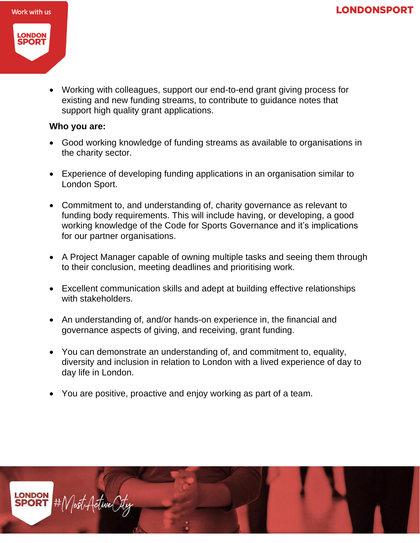



• Working with colleagues, support our end-to-end grant giving process for existing and new funding streams, to contribute to guidance notes that support high quality grant applications.

#### **Who you are:**

- Good working knowledge of funding streams as available to organisations in the charity sector.
- Experience of developing funding applications in an organisation similar to London Sport.
- Commitment to, and understanding of, charity governance as relevant to funding body requirements. This will include having, or developing, a good working knowledge of the Code for Sports Governance and it's implications for our partner organisations.
- A Project Manager capable of owning multiple tasks and seeing them through to their conclusion, meeting deadlines and prioritising work.
- Excellent communication skills and adept at building effective relationships with stakeholders.
- An understanding of, and/or hands-on experience in, the financial and governance aspects of giving, and receiving, grant funding.
- You can demonstrate an understanding of, and commitment to, equality, diversity and inclusion in relation to London with a lived experience of day to day life in London.
- You are positive, proactive and enjoy working as part of a team.

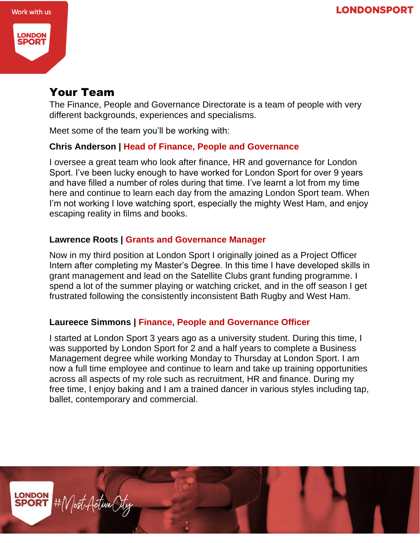



## Your Team

The Finance, People and Governance Directorate is a team of people with very different backgrounds, experiences and specialisms.

Meet some of the team you'll be working with:

#### **Chris Anderson | Head of Finance, People and Governance**

I oversee a great team who look after finance, HR and governance for London Sport. I've been lucky enough to have worked for London Sport for over 9 years and have filled a number of roles during that time. I've learnt a lot from my time here and continue to learn each day from the amazing London Sport team. When I'm not working I love watching sport, especially the mighty West Ham, and enjoy escaping reality in films and books.

#### **Lawrence Roots | Grants and Governance Manager**

Now in my third position at London Sport I originally joined as a Project Officer Intern after completing my Master's Degree. In this time I have developed skills in grant management and lead on the Satellite Clubs grant funding programme. I spend a lot of the summer playing or watching cricket, and in the off season I get frustrated following the consistently inconsistent Bath Rugby and West Ham.

#### **Laureece Simmons | Finance, People and Governance Officer**

I started at London Sport 3 years ago as a university student. During this time, I was supported by London Sport for 2 and a half years to complete a Business Management degree while working Monday to Thursday at London Sport. I am now a full time employee and continue to learn and take up training opportunities across all aspects of my role such as recruitment, HR and finance. During my free time, I enjoy baking and I am a trained dancer in various styles including tap, ballet, contemporary and commercial.